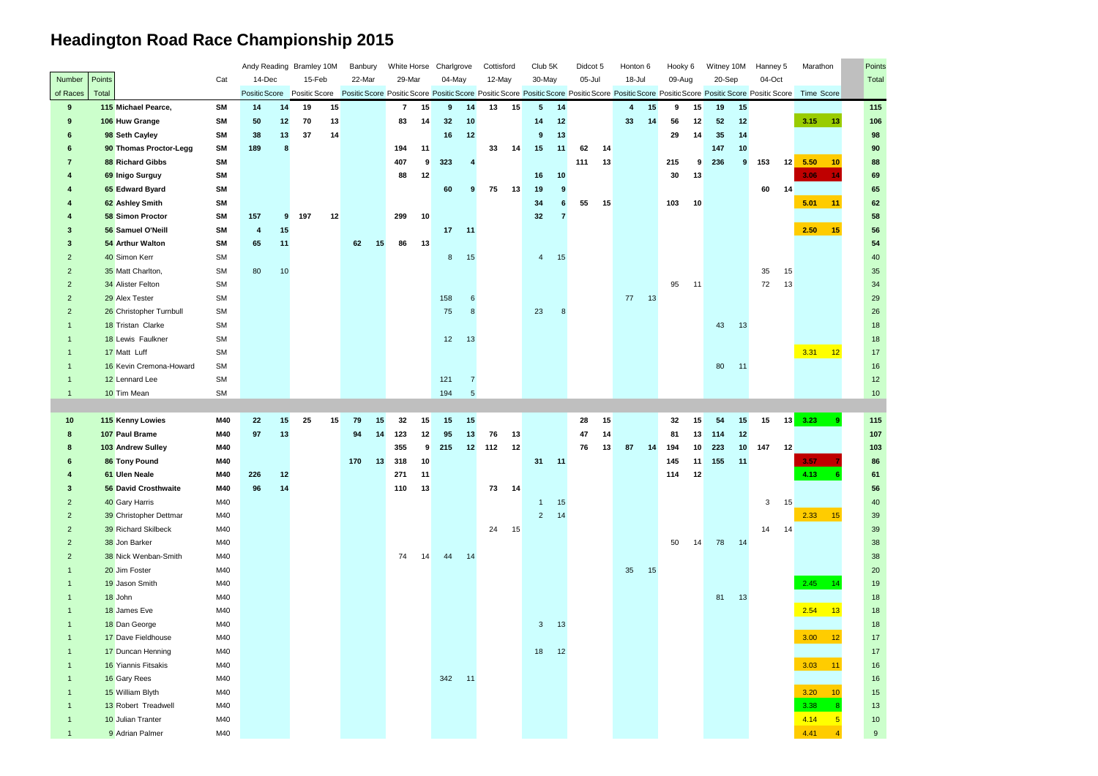## **Headington Road Race Championship 2015**

| n   | Points     |
|-----|------------|
|     | Total      |
| ore |            |
|     | 115        |
| 13  | 106        |
|     | 98         |
| 10  | 90<br>88   |
| 14  | 69         |
|     | 65         |
| 11  | 62         |
|     | 58         |
| 15  | 56         |
|     | 54         |
|     | 40         |
|     | 35         |
|     | 34         |
|     | 29         |
|     | 26         |
|     | 18         |
|     | 18         |
| 12  | 17         |
|     | 16         |
|     | 12         |
|     | 10         |
|     |            |
|     |            |
| 9   | 115<br>107 |
|     | 103        |
| 7   | 86         |
| 6   | 61         |
|     | 56         |
|     | 40         |
| 15  | 39         |
|     | 39         |
|     | 38         |
|     | 38         |
|     | 20         |
| 14  | 19         |
|     | 18         |
| 13  | 18         |
|     | 18         |
| 12  | 17         |
|     | 17         |
| 11  | 16<br>16   |
| 10  | 15         |
| 8   | 13         |
| 5   | 10         |

|                 |        |                         |           |                                                                                                                                                                                                                                |    | Andy Reading Bramley 10M |    | Banbury |    | White Horse  |    | Charlgrove  |                 | Cottisford |    | Club <sub>5K</sub> |       | Didcot 5 |    | Honton 6 |    | Hooky 6 |    | Witney 10M |       | Hanney 5       |                 | Marathon            | Point: |
|-----------------|--------|-------------------------|-----------|--------------------------------------------------------------------------------------------------------------------------------------------------------------------------------------------------------------------------------|----|--------------------------|----|---------|----|--------------|----|-------------|-----------------|------------|----|--------------------|-------|----------|----|----------|----|---------|----|------------|-------|----------------|-----------------|---------------------|--------|
| Number          | Points |                         | Cat       | 14-Dec                                                                                                                                                                                                                         |    | 15-Feb                   |    | 22-Mar  |    | 29-Mar       |    | 04-May      |                 | 12-May     |    | 30-May             |       | 05-Jul   |    | 18-Jul   |    | 09-Aug  |    | 20-Sep     |       | 04-Oct         |                 |                     | Total  |
| of Races        | Total  |                         |           | Positic Score Positic Score Positic Score Positic Score Positic Score Positic Score Positic Score Positic Score Positic Score Positic Score Positic Score Positic Score Positic Score Positic Score Positic Score Positic Scor |    |                          |    |         |    |              |    |             |                 |            |    |                    |       |          |    |          |    |         |    |            |       |                |                 | <b>Time Score</b>   |        |
| 9               |        | 115 Michael Pearce,     | <b>SM</b> | 14                                                                                                                                                                                                                             | 14 | 19                       | 15 |         |    | $\mathbf{7}$ | 15 | $9^{\circ}$ | 14              | 13         | 15 | 5 <sup>5</sup>     | 14    |          |    | 4        | 15 | 9       | 15 | 19         | 15    |                |                 |                     | 115    |
| 9               |        | 106 Huw Grange          | SM        | 50                                                                                                                                                                                                                             | 12 | 70                       | 13 |         |    | 83           | 14 | 32          | 10              |            |    | 14                 | 12    |          |    | 33       | 14 | 56      | 12 | 52         | 12    |                |                 | 3.15<br>13          | 106    |
| 6               |        | 98 Seth Cayley          | SM        | 38                                                                                                                                                                                                                             | 13 | 37                       | 14 |         |    |              |    | 16          | 12              |            |    | 9                  | 13    |          |    |          |    | 29      | 14 | 35         | 14    |                |                 |                     | 98     |
|                 |        | 90 Thomas Proctor-Legg  | SM        | 189                                                                                                                                                                                                                            | 8  |                          |    |         |    | 194          | 11 |             |                 | 33         | 14 | 15                 | $-11$ | 62       | 14 |          |    |         |    | 147        | 10    |                |                 |                     | 90     |
|                 |        | 88 Richard Gibbs        | <b>SM</b> |                                                                                                                                                                                                                                |    |                          |    |         |    | 407          | 9  | 323         |                 |            |    |                    |       | 111      | 13 |          |    | 215     | 9  | 236        | 9     | 153            | 12              | 5.50<br>10          | 88     |
| 4               |        | 69 Inigo Surguy         | SM        |                                                                                                                                                                                                                                |    |                          |    |         |    | 88           | 12 |             |                 |            |    | 16                 | 10    |          |    |          |    | 30      | 13 |            |       |                |                 | 3.06<br>-14         | 69     |
|                 |        | 65 Edward Byard         | <b>SM</b> |                                                                                                                                                                                                                                |    |                          |    |         |    |              |    | 60          | 9               | 75         | 13 | 19                 | 9     |          |    |          |    |         |    |            |       | 60             | 14              |                     | 65     |
|                 |        | 62 Ashley Smith         | <b>SM</b> |                                                                                                                                                                                                                                |    |                          |    |         |    |              |    |             |                 |            |    | 34                 |       | 55       | 15 |          |    | 103     | 10 |            |       |                |                 | 5.01<br>11          | 62     |
|                 |        | <b>58 Simon Proctor</b> | SM        | 157                                                                                                                                                                                                                            | 9  | 197                      | 12 |         |    | 299          | 10 |             |                 |            |    | 32                 | 7     |          |    |          |    |         |    |            |       |                |                 |                     | 58     |
| 3               |        | 56 Samuel O'Neill       | SM        | 4                                                                                                                                                                                                                              | 15 |                          |    |         |    |              |    | 17          | $-11$           |            |    |                    |       |          |    |          |    |         |    |            |       |                |                 | 2.50<br>15          | 56     |
| 3               |        | 54 Arthur Walton        | <b>SM</b> | 65                                                                                                                                                                                                                             | 11 |                          |    | 62      | 15 | 86           | 13 |             |                 |            |    |                    |       |          |    |          |    |         |    |            |       |                |                 |                     | 54     |
| $\overline{2}$  |        | 40 Simon Kerr           | SM        |                                                                                                                                                                                                                                |    |                          |    |         |    |              |    | 8           | 15              |            |    | $\overline{4}$     | 15    |          |    |          |    |         |    |            |       |                |                 |                     | 40     |
| $\overline{2}$  |        | 35 Matt Charlton,       | <b>SM</b> | 80                                                                                                                                                                                                                             | 10 |                          |    |         |    |              |    |             |                 |            |    |                    |       |          |    |          |    |         |    |            |       | 35             | 15              |                     | 35     |
| $\overline{2}$  |        | 34 Alister Felton       | <b>SM</b> |                                                                                                                                                                                                                                |    |                          |    |         |    |              |    |             |                 |            |    |                    |       |          |    |          |    | 95      | 11 |            |       | 72             | 13              |                     | 34     |
| $\overline{2}$  |        | 29 Alex Tester          | <b>SM</b> |                                                                                                                                                                                                                                |    |                          |    |         |    |              |    | 158         |                 |            |    |                    |       |          |    | 77       | 13 |         |    |            |       |                |                 |                     | 29     |
| $\overline{2}$  |        | 26 Christopher Turnbull | SM        |                                                                                                                                                                                                                                |    |                          |    |         |    |              |    | 75          | 8               |            |    | 23                 | 8     |          |    |          |    |         |    |            |       |                |                 |                     | 26     |
|                 |        | 18 Tristan Clarke       | <b>SM</b> |                                                                                                                                                                                                                                |    |                          |    |         |    |              |    |             |                 |            |    |                    |       |          |    |          |    |         |    | 43         | 13    |                |                 |                     | 18     |
|                 |        | 18 Lewis Faulkner       | <b>SM</b> |                                                                                                                                                                                                                                |    |                          |    |         |    |              |    | 12          | 13              |            |    |                    |       |          |    |          |    |         |    |            |       |                |                 |                     | 18     |
|                 |        | 17 Matt Luff            | <b>SM</b> |                                                                                                                                                                                                                                |    |                          |    |         |    |              |    |             |                 |            |    |                    |       |          |    |          |    |         |    |            |       |                |                 | 3.31<br>12          | $17\,$ |
|                 |        | 16 Kevin Cremona-Howard | SM        |                                                                                                                                                                                                                                |    |                          |    |         |    |              |    |             |                 |            |    |                    |       |          |    |          |    |         |    |            | 80 11 |                |                 |                     | 16     |
|                 |        | 12 Lennard Lee          | <b>SM</b> |                                                                                                                                                                                                                                |    |                          |    |         |    |              |    | 121         | 7               |            |    |                    |       |          |    |          |    |         |    |            |       |                |                 |                     | 12     |
| $\mathbf{1}$    |        | 10 Tim Mean             | <b>SM</b> |                                                                                                                                                                                                                                |    |                          |    |         |    |              |    | 194         | $5\overline{5}$ |            |    |                    |       |          |    |          |    |         |    |            |       |                |                 |                     | 10     |
|                 |        |                         |           |                                                                                                                                                                                                                                |    |                          |    |         |    |              |    |             |                 |            |    |                    |       |          |    |          |    |         |    |            |       |                |                 |                     |        |
|                 |        |                         |           |                                                                                                                                                                                                                                |    |                          |    |         |    |              |    |             |                 |            |    |                    |       |          |    |          |    |         |    |            |       |                |                 |                     |        |
| 10              |        | 115 Kenny Lowies        | M40       | 22                                                                                                                                                                                                                             | 15 | 25                       | 15 | 79      | 15 | 32           | 15 | 15          | 15              |            |    |                    |       | 28       | 15 |          |    | 32      | 15 | 54         | 15    | 15             | $13 \quad 3.23$ | -9                  | 115    |
| 8               |        | 107 Paul Brame          | M40       | 97                                                                                                                                                                                                                             | 13 |                          |    | 94      | 14 | 123          | 12 | 95          | 13              | 76         | 13 |                    |       | 47       | 14 |          |    | 81      | 13 | 114        | 12    |                |                 |                     | 107    |
| 8               |        | 103 Andrew Sulley       | M40       |                                                                                                                                                                                                                                |    |                          |    |         |    | 355          | 9  | 215         | 12              | 112        | 12 |                    |       | 76       | 13 | 87       | 14 | 194     | 10 | 223        | 10    | 147            | 12              |                     | 103    |
| 6               |        | 86 Tony Pound           | M40       |                                                                                                                                                                                                                                |    |                          |    | 170     | 13 | 318          | 10 |             |                 |            |    | 31                 | $-11$ |          |    |          |    | 145     | 11 | 155        | $-11$ |                |                 | 3.57                | 86     |
| $\overline{4}$  |        | 61 Ulen Neale           | M40       | 226                                                                                                                                                                                                                            | 12 |                          |    |         |    | 271          | 11 |             |                 |            |    |                    |       |          |    |          |    | 114     | 12 |            |       |                |                 | 4.13                | 61     |
| $3\phantom{.0}$ |        | 56 David Crosthwaite    | M40       | 96                                                                                                                                                                                                                             | 14 |                          |    |         |    | 110          | 13 |             |                 | 73         | 14 |                    |       |          |    |          |    |         |    |            |       |                |                 |                     | 56     |
| $\overline{2}$  |        | 40 Gary Harris          | M40       |                                                                                                                                                                                                                                |    |                          |    |         |    |              |    |             |                 |            |    | $\mathbf{1}$       | 15    |          |    |          |    |         |    |            |       | 3 <sup>1</sup> | 15              |                     | 40     |
| $\overline{2}$  |        | 39 Christopher Dettmar  | M40       |                                                                                                                                                                                                                                |    |                          |    |         |    |              |    |             |                 |            |    | 2 <sup>7</sup>     | 14    |          |    |          |    |         |    |            |       |                |                 | 2.33<br>15          | $39\,$ |
| $\overline{2}$  |        | 39 Richard Skilbeck     | M40       |                                                                                                                                                                                                                                |    |                          |    |         |    |              |    |             |                 | 24         | 15 |                    |       |          |    |          |    |         |    |            |       | 14 14          |                 |                     | $39\,$ |
| $\overline{2}$  |        | 38 Jon Barker           | M40       |                                                                                                                                                                                                                                |    |                          |    |         |    |              |    |             |                 |            |    |                    |       |          |    |          |    | 50      | 14 |            | 78 14 |                |                 |                     | 38     |
| $\overline{2}$  |        | 38 Nick Wenban-Smith    | M40       |                                                                                                                                                                                                                                |    |                          |    |         |    | 74           | 14 | 44          | -14             |            |    |                    |       |          |    |          |    |         |    |            |       |                |                 |                     | $38\,$ |
|                 |        | 20 Jim Foster           | M40       |                                                                                                                                                                                                                                |    |                          |    |         |    |              |    |             |                 |            |    |                    |       |          |    | 35       | 15 |         |    |            |       |                |                 |                     | 20     |
|                 |        | 19 Jason Smith          | M40       |                                                                                                                                                                                                                                |    |                          |    |         |    |              |    |             |                 |            |    |                    |       |          |    |          |    |         |    |            |       |                |                 | 2.45<br>$\sqrt{14}$ | $19$   |
|                 |        | 18 John                 | M40       |                                                                                                                                                                                                                                |    |                          |    |         |    |              |    |             |                 |            |    |                    |       |          |    |          |    |         |    |            | 81 13 |                |                 |                     | $18$   |
|                 |        | 18 James Eve            | M40       |                                                                                                                                                                                                                                |    |                          |    |         |    |              |    |             |                 |            |    |                    |       |          |    |          |    |         |    |            |       |                |                 | 2.54<br>13          | $18$   |
|                 |        | 18 Dan George           | M40       |                                                                                                                                                                                                                                |    |                          |    |         |    |              |    |             |                 |            |    | 3 <sup>1</sup>     | 13    |          |    |          |    |         |    |            |       |                |                 |                     | $18$   |
|                 |        | 17 Dave Fieldhouse      | M40       |                                                                                                                                                                                                                                |    |                          |    |         |    |              |    |             |                 |            |    |                    |       |          |    |          |    |         |    |            |       |                |                 | 3.00<br>12          | $17$   |
|                 |        | 17 Duncan Henning       | M40       |                                                                                                                                                                                                                                |    |                          |    |         |    |              |    |             |                 |            |    | 18                 | 12    |          |    |          |    |         |    |            |       |                |                 |                     | $17$   |
| $\mathbf 1$     |        | 16 Yiannis Fitsakis     | M40       |                                                                                                                                                                                                                                |    |                          |    |         |    |              |    |             |                 |            |    |                    |       |          |    |          |    |         |    |            |       |                |                 | 3.03<br>11          | 16     |
| $\mathbf 1$     |        | 16 Gary Rees            | M40       |                                                                                                                                                                                                                                |    |                          |    |         |    |              |    | 342         | $-11$           |            |    |                    |       |          |    |          |    |         |    |            |       |                |                 |                     | 16     |
|                 |        | 15 William Blyth        | M40       |                                                                                                                                                                                                                                |    |                          |    |         |    |              |    |             |                 |            |    |                    |       |          |    |          |    |         |    |            |       |                |                 | 3.20<br>10          | $15\,$ |
|                 |        | 13 Robert Treadwell     | M40       |                                                                                                                                                                                                                                |    |                          |    |         |    |              |    |             |                 |            |    |                    |       |          |    |          |    |         |    |            |       |                |                 | 3.38                | $13$   |
| $\mathbf 1$     |        | 10 Julian Tranter       | M40       |                                                                                                                                                                                                                                |    |                          |    |         |    |              |    |             |                 |            |    |                    |       |          |    |          |    |         |    |            |       |                |                 | 4.14                | $10$   |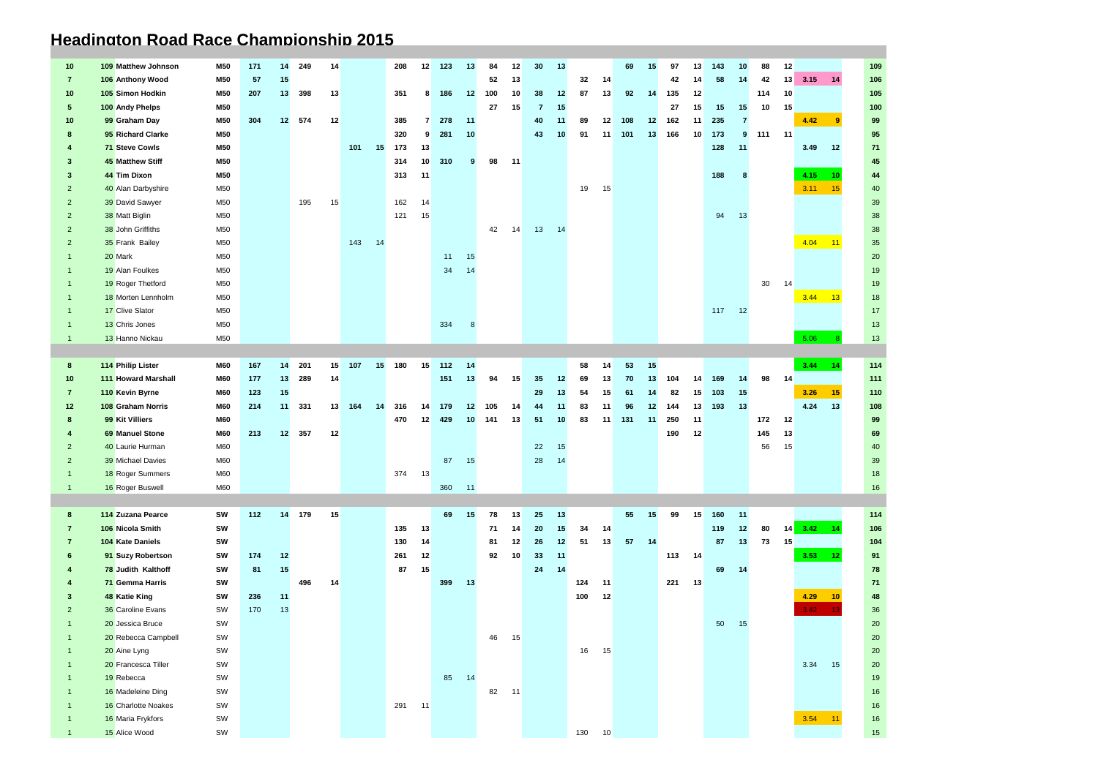## **Headington Road Race Championship 2015**

| 10              | 109 Matthew Johnson        | <b>M50</b> | 171 | 14 | 249    | 14 |     |    | 208    | 12              | 123 | 13 | 84  | 12 | 30             | 13 |     |                 | 69  | 15 | 97  | 13 | 143 | 10             | 88  | 12    |                       | 109    |
|-----------------|----------------------------|------------|-----|----|--------|----|-----|----|--------|-----------------|-----|----|-----|----|----------------|----|-----|-----------------|-----|----|-----|----|-----|----------------|-----|-------|-----------------------|--------|
| $\mathbf{7}$    | 106 Anthony Wood           | M50        | 57  | 15 |        |    |     |    |        |                 |     |    | 52  | 13 |                |    | 32  | 14              |     |    | 42  | 14 | 58  | 14             | 42  | 13    | 3.15<br>14            | 106    |
| 10              | 105 Simon Hodkin           | M50        | 207 | 13 | 398    | 13 |     |    | 351    | 8               | 186 | 12 | 100 | 10 | 38             | 12 | 87  | 13              | 92  | 14 | 135 | 12 |     |                | 114 | 10    |                       | 105    |
| $5^{\circ}$     | 100 Andy Phelps            | <b>M50</b> |     |    |        |    |     |    |        |                 |     |    | 27  | 15 | $\overline{7}$ | 15 |     |                 |     |    | 27  | 15 | 15  | 15             | 10  | 15    |                       | 100    |
| 10              | 99 Graham Day              | <b>M50</b> | 304 | 12 | 574    | 12 |     |    | 385    | $\mathbf{7}$    | 278 | 11 |     |    | 40             | 11 | 89  | 12 <sup>1</sup> | 108 | 12 | 162 | 11 | 235 | $\overline{7}$ |     |       | 4.42<br>9             | 99     |
| 8               | 95 Richard Clarke          | M50        |     |    |        |    |     |    | 320    | 9               | 281 | 10 |     |    | 43             | 10 | 91  | 11              | 101 | 13 | 166 | 10 | 173 | 9              | 111 | 11    |                       | 95     |
|                 | <b>71 Steve Cowls</b>      | M50        |     |    |        |    | 101 | 15 | 173    | 13              |     |    |     |    |                |    |     |                 |     |    |     |    | 128 | 11             |     |       | 3.49<br>12            | 71     |
| 3               | <b>45 Matthew Stiff</b>    | M50        |     |    |        |    |     |    | 314    | 10              | 310 | 9  | 98  | 11 |                |    |     |                 |     |    |     |    |     |                |     |       |                       | 45     |
| 3               | 44 Tim Dixon               | M50        |     |    |        |    |     |    | 313    | 11              |     |    |     |    |                |    |     |                 |     |    |     |    | 188 | 8              |     |       | 4.15<br>10            | 44     |
| 2               | 40 Alan Darbyshire         | M50        |     |    |        |    |     |    |        |                 |     |    |     |    |                |    | 19  | 15              |     |    |     |    |     |                |     |       | 3.11<br>15            | 40     |
| $\overline{2}$  | 39 David Sawyer            | M50        |     |    | 195    | 15 |     |    | 162    | 14              |     |    |     |    |                |    |     |                 |     |    |     |    |     |                |     |       |                       | 39     |
| $\overline{2}$  | 38 Matt Biglin             | M50        |     |    |        |    |     |    | 121    | 15              |     |    |     |    |                |    |     |                 |     |    |     |    | 94  | 13             |     |       |                       | 38     |
| 2               | 38 John Griffiths          | M50        |     |    |        |    |     |    |        |                 |     |    | 42  | 14 | 13             | 14 |     |                 |     |    |     |    |     |                |     |       |                       | 38     |
| 2               | 35 Frank Bailey            | M50        |     |    |        |    | 143 | 14 |        |                 |     |    |     |    |                |    |     |                 |     |    |     |    |     |                |     |       | 4.04<br>11            | 35     |
|                 | 20 Mark                    | M50        |     |    |        |    |     |    |        |                 | 11  | 15 |     |    |                |    |     |                 |     |    |     |    |     |                |     |       |                       | 20     |
|                 | 19 Alan Foulkes            | M50        |     |    |        |    |     |    |        |                 | 34  | 14 |     |    |                |    |     |                 |     |    |     |    |     |                |     |       |                       | 19     |
| -1              | 19 Roger Thetford          | M50        |     |    |        |    |     |    |        |                 |     |    |     |    |                |    |     |                 |     |    |     |    |     |                | 30  | 14    |                       | 19     |
|                 | 18 Morten Lennholm         | M50        |     |    |        |    |     |    |        |                 |     |    |     |    |                |    |     |                 |     |    |     |    |     |                |     |       | 3.44<br>$-13$         | 18     |
|                 | 17 Clive Slator            | M50        |     |    |        |    |     |    |        |                 |     |    |     |    |                |    |     |                 |     |    |     |    | 117 | 12             |     |       |                       | 17     |
|                 | 13 Chris Jones             | M50        |     |    |        |    |     |    |        |                 | 334 | 8  |     |    |                |    |     |                 |     |    |     |    |     |                |     |       |                       | 13     |
| $\mathbf 1$     | 13 Hanno Nickau            | M50        |     |    |        |    |     |    |        |                 |     |    |     |    |                |    |     |                 |     |    |     |    |     |                |     |       | 5.06                  | 13     |
|                 |                            |            |     |    |        |    |     |    |        |                 |     |    |     |    |                |    |     |                 |     |    |     |    |     |                |     |       |                       |        |
| 8               | 114 Philip Lister          | <b>M60</b> | 167 | 14 | 201    | 15 | 107 | 15 | 180    | 15              | 112 | 14 |     |    |                |    | 58  | 14              | 53  | 15 |     |    |     |                |     |       | 3.44<br>14            | 114    |
| 10 <sub>1</sub> | <b>111 Howard Marshall</b> | M60        | 177 | 13 | 289    | 14 |     |    |        |                 | 151 | 13 | 94  | 15 | 35             | 12 | 69  | 13              | 70  | 13 | 104 | 14 | 169 | 14             |     | 98 14 |                       | 111    |
| $\overline{7}$  | 110 Kevin Byrne            | M60        | 123 | 15 |        |    |     |    |        |                 |     |    |     |    | 29             | 13 | 54  | 15              | 61  | 14 | 82  | 15 | 103 | 15             |     |       | 3.26<br>15            | 110    |
| 12              | 108 Graham Norris          | M60        | 214 | 11 | 331    | 13 | 164 | 14 | 316    | 14              | 179 | 12 | 105 | 14 | 44             | 11 | 83  | 11              | 96  | 12 | 144 | 13 | 193 | 13             |     |       | 4.24<br>13            | 108    |
| 8               | 99 Kit Villiers            | M60        |     |    |        |    |     |    | 470    | 12 <sup>2</sup> | 429 | 10 | 141 | 13 | 51             | 10 | 83  | 11              | 131 | 11 | 250 | 11 |     |                | 172 | 12    |                       | 99     |
|                 | <b>69 Manuel Stone</b>     | M60        | 213 |    | 12 357 | 12 |     |    |        |                 |     |    |     |    |                |    |     |                 |     |    | 190 | 12 |     |                | 145 | 13    |                       | 69     |
| 2               | 40 Laurie Hurman           | M60        |     |    |        |    |     |    |        |                 |     |    |     |    | 22             | 15 |     |                 |     |    |     |    |     |                | 56  | 15    |                       | 40     |
| $\overline{2}$  | 39 Michael Davies          | M60        |     |    |        |    |     |    |        |                 | 87  | 15 |     |    | 28             | 14 |     |                 |     |    |     |    |     |                |     |       |                       | 39     |
|                 | 18 Roger Summers           | M60        |     |    |        |    |     |    | 374    | 13              |     |    |     |    |                |    |     |                 |     |    |     |    |     |                |     |       |                       | 18     |
| $\overline{1}$  | 16 Roger Buswell           | M60        |     |    |        |    |     |    |        |                 | 360 | 11 |     |    |                |    |     |                 |     |    |     |    |     |                |     |       |                       | 16     |
|                 |                            |            |     |    |        |    |     |    |        |                 |     |    |     |    |                |    |     |                 |     |    |     |    |     |                |     |       |                       |        |
| 8               | 114 Zuzana Pearce          | SW         | 112 | 14 | 179    | 15 |     |    |        |                 | 69  | 15 | 78  | 13 | 25             | 13 |     |                 | 55  | 15 | 99  | 15 | 160 | 11             |     |       |                       | 114    |
| 7               | 106 Nicola Smith           | SW         |     |    |        |    |     |    | 135    | 13              |     |    | 71  | 14 | 20             | 15 | 34  | -14             |     |    |     |    | 119 | 12             | 80  |       | $14 \quad 3.42$<br>14 | 106    |
| $\mathbf{7}$    | 104 Kate Daniels           | SW         |     |    |        |    |     |    | 130    | 14              |     |    | 81  | 12 | 26             | 12 | 51  | 13              | 57  | 14 |     |    | 87  | 13             | 73  | 15    |                       | 104    |
| 6               | 91 Suzy Robertson          | SW         | 174 | 12 |        |    |     |    | 261    | 12              |     |    | 92  | 10 | 33             | 11 |     |                 |     |    | 113 | 14 |     |                |     |       | 3.53<br>12            | 91     |
|                 | 78 Judith Kalthoff         | SW         | 81  | 15 |        |    |     |    | 87     | 15              |     |    |     |    | 24             | 14 |     |                 |     |    |     |    | 69  | 14             |     |       |                       | 78     |
|                 | 71 Gemma Harris            | SW         |     |    | 496    | 14 |     |    |        |                 | 399 | 13 |     |    |                |    | 124 | 11              |     |    | 221 | 13 |     |                |     |       |                       | 71     |
| 3               | 48 Katie King              | SW         | 236 | 11 |        |    |     |    |        |                 |     |    |     |    |                |    | 100 | 12              |     |    |     |    |     |                |     |       | 4.29<br>10            | 48     |
| 2               | 36 Caroline Evans          | SW         | 170 | 13 |        |    |     |    |        |                 |     |    |     |    |                |    |     |                 |     |    |     |    |     |                |     |       | 3.42                  | 36     |
|                 | 20 Jessica Bruce           | SW         |     |    |        |    |     |    |        |                 |     |    |     |    |                |    |     |                 |     |    |     |    | 50  | 15             |     |       |                       | $20\,$ |
|                 | 20 Rebecca Campbell        | SW         |     |    |        |    |     |    |        |                 |     |    | 46  | 15 |                |    |     |                 |     |    |     |    |     |                |     |       |                       | 20     |
|                 | 20 Aine Lyng               | SW         |     |    |        |    |     |    |        |                 |     |    |     |    |                |    | 16  | 15              |     |    |     |    |     |                |     |       |                       | $20\,$ |
|                 | 20 Francesca Tiller        | SW         |     |    |        |    |     |    |        |                 |     |    |     |    |                |    |     |                 |     |    |     |    |     |                |     |       | 3.34<br>15            | $20\,$ |
| $\overline{1}$  | 19 Rebecca                 | SW         |     |    |        |    |     |    |        |                 | 85  | 14 |     |    |                |    |     |                 |     |    |     |    |     |                |     |       |                       | 19     |
|                 | 16 Madeleine Ding          | SW         |     |    |        |    |     |    |        |                 |     |    | 82  | 11 |                |    |     |                 |     |    |     |    |     |                |     |       |                       | 16     |
|                 | 16 Charlotte Noakes        | SW         |     |    |        |    |     |    | 291 11 |                 |     |    |     |    |                |    |     |                 |     |    |     |    |     |                |     |       |                       | 16     |
|                 | 16 Maria Frykfors          | SW         |     |    |        |    |     |    |        |                 |     |    |     |    |                |    |     |                 |     |    |     |    |     |                |     |       | 3.54<br>11            | 16     |
| $\overline{1}$  | 15 Alice Wood              | SW         |     |    |        |    |     |    |        |                 |     |    |     |    |                |    | 130 | 10              |     |    |     |    |     |                |     |       |                       | 15     |
|                 |                            |            |     |    |        |    |     |    |        |                 |     |    |     |    |                |    |     |                 |     |    |     |    |     |                |     |       |                       |        |